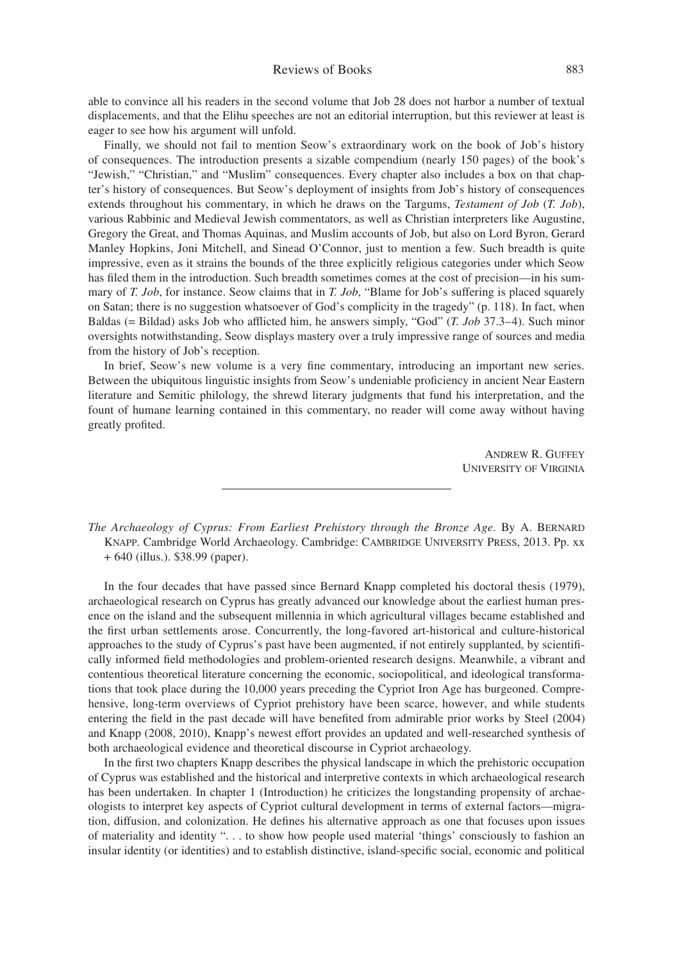able to convince all his readers in the second volume that Job 28 does not harbor a number of textual displacements, and that the Elihu speeches are not an editorial interruption, but this reviewer at least is eager to see how his argument will unfold.

Finally, we should not fail to mention Seow's extraordinary work on the book of Job's history of consequences. The introduction presents a sizable compendium (nearly 150 pages) of the book's "Jewish," "Christian," and "Muslim" consequences. Every chapter also includes a box on that chapter's history of consequences. But Seow's deployment of insights from Job's history of consequences extends throughout his commentary, in which he draws on the Targums, *Testament of Job* (*T. Job*), various Rabbinic and Medieval Jewish commentators, as well as Christian interpreters like Augustine, Gregory the Great, and Thomas Aquinas, and Muslim accounts of Job, but also on Lord Byron, Gerard Manley Hopkins, Joni Mitchell, and Sinead O'Connor, just to mention a few. Such breadth is quite impressive, even as it strains the bounds of the three explicitly religious categories under which Seow has filed them in the introduction. Such breadth sometimes comes at the cost of precision—in his summary of *T. Job*, for instance. Seow claims that in *T. Job*, "Blame for Job's suffering is placed squarely on Satan; there is no suggestion whatsoever of God's complicity in the tragedy" (p. 118). In fact, when Baldas (= Bildad) asks Job who afflicted him, he answers simply, "God" (*T. Job* 37.3–4). Such minor oversights notwithstanding, Seow displays mastery over a truly impressive range of sources and media from the history of Job's reception.

In brief, Seow's new volume is a very fine commentary, introducing an important new series. Between the ubiquitous linguistic insights from Seow's undeniable proficiency in ancient Near Eastern literature and Semitic philology, the shrewd literary judgments that fund his interpretation, and the fount of humane learning contained in this commentary, no reader will come away without having greatly profited.

> Andrew R. Guffey University of Virginia

*The Archaeology of Cyprus: From Earliest Prehistory through the Bronze Age*. By A. Bernard KNAPP. Cambridge World Archaeology. Cambridge: CAMBRIDGE UNIVERSITY PRESS, 2013. Pp. xx + 640 (illus.). \$38.99 (paper).

In the four decades that have passed since Bernard Knapp completed his doctoral thesis (1979), archaeological research on Cyprus has greatly advanced our knowledge about the earliest human presence on the island and the subsequent millennia in which agricultural villages became established and the first urban settlements arose. Concurrently, the long-favored art-historical and culture-historical approaches to the study of Cyprus's past have been augmented, if not entirely supplanted, by scientifically informed field methodologies and problem-oriented research designs. Meanwhile, a vibrant and contentious theoretical literature concerning the economic, sociopolitical, and ideological transformations that took place during the 10,000 years preceding the Cypriot Iron Age has burgeoned. Comprehensive, long-term overviews of Cypriot prehistory have been scarce, however, and while students entering the field in the past decade will have benefited from admirable prior works by Steel (2004) and Knapp (2008, 2010), Knapp's newest effort provides an updated and well-researched synthesis of both archaeological evidence and theoretical discourse in Cypriot archaeology.

In the first two chapters Knapp describes the physical landscape in which the prehistoric occupation of Cyprus was established and the historical and interpretive contexts in which archaeological research has been undertaken. In chapter 1 (Introduction) he criticizes the longstanding propensity of archaeologists to interpret key aspects of Cypriot cultural development in terms of external factors—migration, diffusion, and colonization. He defines his alternative approach as one that focuses upon issues of materiality and identity ". . . to show how people used material 'things' consciously to fashion an insular identity (or identities) and to establish distinctive, island-specific social, economic and political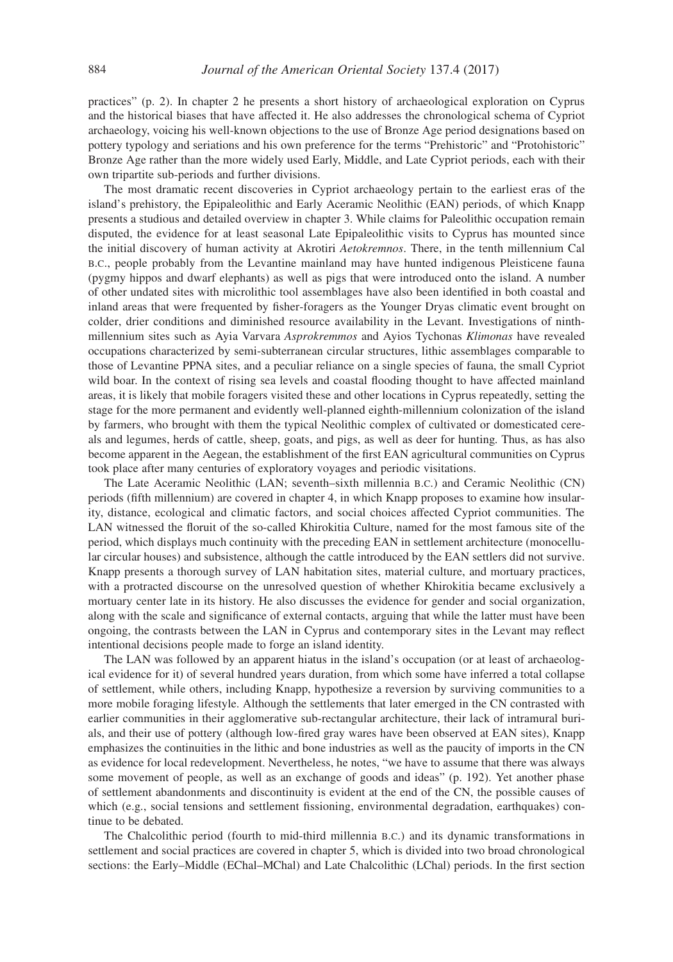practices" (p. 2). In chapter 2 he presents a short history of archaeological exploration on Cyprus and the historical biases that have affected it. He also addresses the chronological schema of Cypriot archaeology, voicing his well-known objections to the use of Bronze Age period designations based on pottery typology and seriations and his own preference for the terms "Prehistoric" and "Protohistoric" Bronze Age rather than the more widely used Early, Middle, and Late Cypriot periods, each with their own tripartite sub-periods and further divisions.

The most dramatic recent discoveries in Cypriot archaeology pertain to the earliest eras of the island's prehistory, the Epipaleolithic and Early Aceramic Neolithic (EAN) periods, of which Knapp presents a studious and detailed overview in chapter 3. While claims for Paleolithic occupation remain disputed, the evidence for at least seasonal Late Epipaleolithic visits to Cyprus has mounted since the initial discovery of human activity at Akrotiri *Aetokremnos*. There, in the tenth millennium Cal b.c., people probably from the Levantine mainland may have hunted indigenous Pleisticene fauna (pygmy hippos and dwarf elephants) as well as pigs that were introduced onto the island. A number of other undated sites with microlithic tool assemblages have also been identified in both coastal and inland areas that were frequented by fisher-foragers as the Younger Dryas climatic event brought on colder, drier conditions and diminished resource availability in the Levant. Investigations of ninthmillennium sites such as Ayia Varvara *Asprokremmos* and Ayios Tychonas *Klimonas* have revealed occupations characterized by semi-subterranean circular structures, lithic assemblages comparable to those of Levantine PPNA sites, and a peculiar reliance on a single species of fauna, the small Cypriot wild boar. In the context of rising sea levels and coastal flooding thought to have affected mainland areas, it is likely that mobile foragers visited these and other locations in Cyprus repeatedly, setting the stage for the more permanent and evidently well-planned eighth-millennium colonization of the island by farmers, who brought with them the typical Neolithic complex of cultivated or domesticated cereals and legumes, herds of cattle, sheep, goats, and pigs, as well as deer for hunting. Thus, as has also become apparent in the Aegean, the establishment of the first EAN agricultural communities on Cyprus took place after many centuries of exploratory voyages and periodic visitations.

The Late Aceramic Neolithic (LAN; seventh–sixth millennia b.c.) and Ceramic Neolithic (CN) periods (fifth millennium) are covered in chapter 4, in which Knapp proposes to examine how insularity, distance, ecological and climatic factors, and social choices affected Cypriot communities. The LAN witnessed the floruit of the so-called Khirokitia Culture, named for the most famous site of the period, which displays much continuity with the preceding EAN in settlement architecture (monocellular circular houses) and subsistence, although the cattle introduced by the EAN settlers did not survive. Knapp presents a thorough survey of LAN habitation sites, material culture, and mortuary practices, with a protracted discourse on the unresolved question of whether Khirokitia became exclusively a mortuary center late in its history. He also discusses the evidence for gender and social organization, along with the scale and significance of external contacts, arguing that while the latter must have been ongoing, the contrasts between the LAN in Cyprus and contemporary sites in the Levant may reflect intentional decisions people made to forge an island identity.

The LAN was followed by an apparent hiatus in the island's occupation (or at least of archaeological evidence for it) of several hundred years duration, from which some have inferred a total collapse of settlement, while others, including Knapp, hypothesize a reversion by surviving communities to a more mobile foraging lifestyle. Although the settlements that later emerged in the CN contrasted with earlier communities in their agglomerative sub-rectangular architecture, their lack of intramural burials, and their use of pottery (although low-fired gray wares have been observed at EAN sites), Knapp emphasizes the continuities in the lithic and bone industries as well as the paucity of imports in the CN as evidence for local redevelopment. Nevertheless, he notes, "we have to assume that there was always some movement of people, as well as an exchange of goods and ideas" (p. 192). Yet another phase of settlement abandonments and discontinuity is evident at the end of the CN, the possible causes of which (e.g., social tensions and settlement fissioning, environmental degradation, earthquakes) continue to be debated.

The Chalcolithic period (fourth to mid-third millennia b.c.) and its dynamic transformations in settlement and social practices are covered in chapter 5, which is divided into two broad chronological sections: the Early–Middle (EChal–MChal) and Late Chalcolithic (LChal) periods. In the first section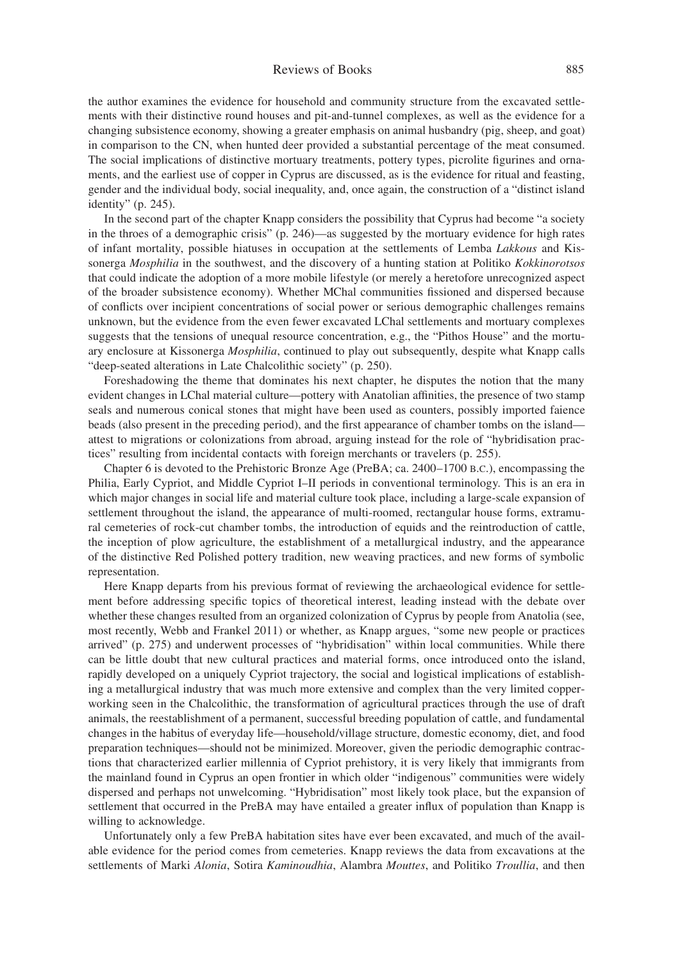## Reviews of Books 885

the author examines the evidence for household and community structure from the excavated settlements with their distinctive round houses and pit-and-tunnel complexes, as well as the evidence for a changing subsistence economy, showing a greater emphasis on animal husbandry (pig, sheep, and goat) in comparison to the CN, when hunted deer provided a substantial percentage of the meat consumed. The social implications of distinctive mortuary treatments, pottery types, picrolite figurines and ornaments, and the earliest use of copper in Cyprus are discussed, as is the evidence for ritual and feasting, gender and the individual body, social inequality, and, once again, the construction of a "distinct island identity" (p. 245).

In the second part of the chapter Knapp considers the possibility that Cyprus had become "a society in the throes of a demographic crisis" (p. 246)—as suggested by the mortuary evidence for high rates of infant mortality, possible hiatuses in occupation at the settlements of Lemba *Lakkous* and Kissonerga *Mosphilia* in the southwest, and the discovery of a hunting station at Politiko *Kokkinorotsos* that could indicate the adoption of a more mobile lifestyle (or merely a heretofore unrecognized aspect of the broader subsistence economy). Whether MChal communities fissioned and dispersed because of conflicts over incipient concentrations of social power or serious demographic challenges remains unknown, but the evidence from the even fewer excavated LChal settlements and mortuary complexes suggests that the tensions of unequal resource concentration, e.g., the "Pithos House" and the mortuary enclosure at Kissonerga *Mosphilia*, continued to play out subsequently, despite what Knapp calls "deep-seated alterations in Late Chalcolithic society" (p. 250).

Foreshadowing the theme that dominates his next chapter, he disputes the notion that the many evident changes in LChal material culture—pottery with Anatolian affinities, the presence of two stamp seals and numerous conical stones that might have been used as counters, possibly imported faience beads (also present in the preceding period), and the first appearance of chamber tombs on the island attest to migrations or colonizations from abroad, arguing instead for the role of "hybridisation practices" resulting from incidental contacts with foreign merchants or travelers (p. 255).

Chapter 6 is devoted to the Prehistoric Bronze Age (PreBA; ca. 2400–1700 B.C.), encompassing the Philia, Early Cypriot, and Middle Cypriot I–II periods in conventional terminology. This is an era in which major changes in social life and material culture took place, including a large-scale expansion of settlement throughout the island, the appearance of multi-roomed, rectangular house forms, extramural cemeteries of rock-cut chamber tombs, the introduction of equids and the reintroduction of cattle, the inception of plow agriculture, the establishment of a metallurgical industry, and the appearance of the distinctive Red Polished pottery tradition, new weaving practices, and new forms of symbolic representation.

Here Knapp departs from his previous format of reviewing the archaeological evidence for settlement before addressing specific topics of theoretical interest, leading instead with the debate over whether these changes resulted from an organized colonization of Cyprus by people from Anatolia (see, most recently, Webb and Frankel 2011) or whether, as Knapp argues, "some new people or practices arrived" (p. 275) and underwent processes of "hybridisation" within local communities. While there can be little doubt that new cultural practices and material forms, once introduced onto the island, rapidly developed on a uniquely Cypriot trajectory, the social and logistical implications of establishing a metallurgical industry that was much more extensive and complex than the very limited copperworking seen in the Chalcolithic, the transformation of agricultural practices through the use of draft animals, the reestablishment of a permanent, successful breeding population of cattle, and fundamental changes in the habitus of everyday life—household/village structure, domestic economy, diet, and food preparation techniques—should not be minimized. Moreover, given the periodic demographic contractions that characterized earlier millennia of Cypriot prehistory, it is very likely that immigrants from the mainland found in Cyprus an open frontier in which older "indigenous" communities were widely dispersed and perhaps not unwelcoming. "Hybridisation" most likely took place, but the expansion of settlement that occurred in the PreBA may have entailed a greater influx of population than Knapp is willing to acknowledge.

Unfortunately only a few PreBA habitation sites have ever been excavated, and much of the available evidence for the period comes from cemeteries. Knapp reviews the data from excavations at the settlements of Marki *Alonia*, Sotira *Kaminoudhia*, Alambra *Mouttes*, and Politiko *Troullia*, and then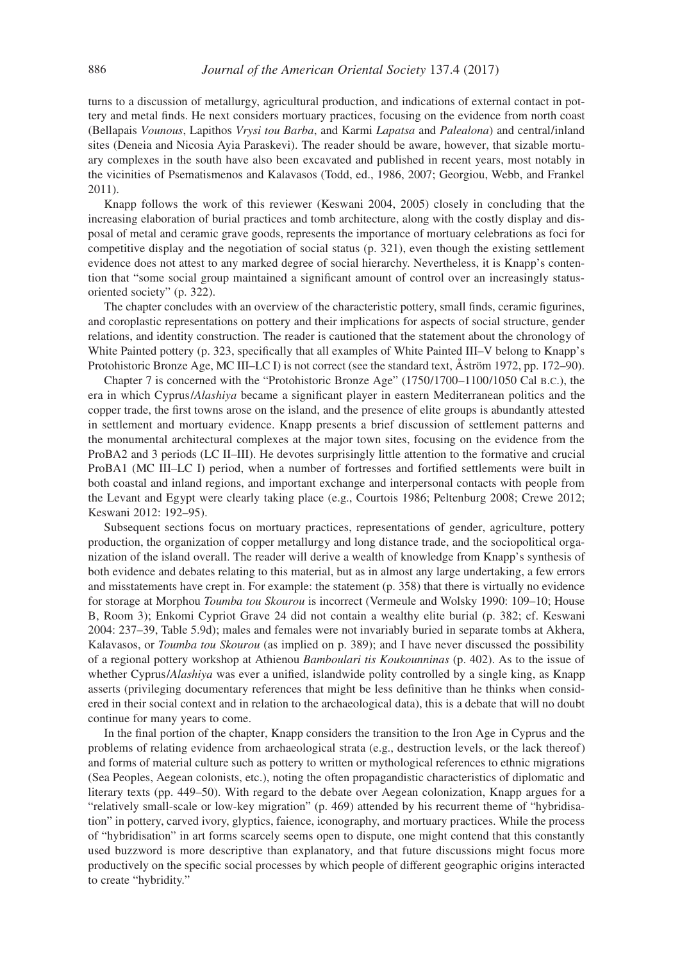turns to a discussion of metallurgy, agricultural production, and indications of external contact in pottery and metal finds. He next considers mortuary practices, focusing on the evidence from north coast (Bellapais *Vounous*, Lapithos *Vrysi tou Barba*, and Karmi *Lapatsa* and *Palealona*) and central/inland sites (Deneia and Nicosia Ayia Paraskevi). The reader should be aware, however, that sizable mortuary complexes in the south have also been excavated and published in recent years, most notably in the vicinities of Psematismenos and Kalavasos (Todd, ed., 1986, 2007; Georgiou, Webb, and Frankel 2011).

Knapp follows the work of this reviewer (Keswani 2004, 2005) closely in concluding that the increasing elaboration of burial practices and tomb architecture, along with the costly display and disposal of metal and ceramic grave goods, represents the importance of mortuary celebrations as foci for competitive display and the negotiation of social status (p. 321), even though the existing settlement evidence does not attest to any marked degree of social hierarchy. Nevertheless, it is Knapp's contention that "some social group maintained a significant amount of control over an increasingly statusoriented society" (p. 322).

The chapter concludes with an overview of the characteristic pottery, small finds, ceramic figurines, and coroplastic representations on pottery and their implications for aspects of social structure, gender relations, and identity construction. The reader is cautioned that the statement about the chronology of White Painted pottery (p. 323, specifically that all examples of White Painted III–V belong to Knapp's Protohistoric Bronze Age, MC III–LC I) is not correct (see the standard text, Åström 1972, pp. 172–90).

Chapter 7 is concerned with the "Protohistoric Bronze Age" (1750/1700–1100/1050 Cal b.c.), the era in which Cyprus/*Alashiya* became a significant player in eastern Mediterranean politics and the copper trade, the first towns arose on the island, and the presence of elite groups is abundantly attested in settlement and mortuary evidence. Knapp presents a brief discussion of settlement patterns and the monumental architectural complexes at the major town sites, focusing on the evidence from the ProBA2 and 3 periods (LC II–III). He devotes surprisingly little attention to the formative and crucial ProBA1 (MC III–LC I) period, when a number of fortresses and fortified settlements were built in both coastal and inland regions, and important exchange and interpersonal contacts with people from the Levant and Egypt were clearly taking place (e.g., Courtois 1986; Peltenburg 2008; Crewe 2012; Keswani 2012: 192–95).

Subsequent sections focus on mortuary practices, representations of gender, agriculture, pottery production, the organization of copper metallurgy and long distance trade, and the sociopolitical organization of the island overall. The reader will derive a wealth of knowledge from Knapp's synthesis of both evidence and debates relating to this material, but as in almost any large undertaking, a few errors and misstatements have crept in. For example: the statement (p. 358) that there is virtually no evidence for storage at Morphou *Toumba tou Skourou* is incorrect (Vermeule and Wolsky 1990: 109–10; House B, Room 3); Enkomi Cypriot Grave 24 did not contain a wealthy elite burial (p. 382; cf. Keswani 2004: 237–39, Table 5.9d); males and females were not invariably buried in separate tombs at Akhera, Kalavasos, or *Toumba tou Skourou* (as implied on p. 389); and I have never discussed the possibility of a regional pottery workshop at Athienou *Bamboulari tis Koukounninas* (p. 402). As to the issue of whether Cyprus/*Alashiya* was ever a unified, islandwide polity controlled by a single king, as Knapp asserts (privileging documentary references that might be less definitive than he thinks when considered in their social context and in relation to the archaeological data), this is a debate that will no doubt continue for many years to come.

In the final portion of the chapter, Knapp considers the transition to the Iron Age in Cyprus and the problems of relating evidence from archaeological strata (e.g., destruction levels, or the lack thereof) and forms of material culture such as pottery to written or mythological references to ethnic migrations (Sea Peoples, Aegean colonists, etc.), noting the often propagandistic characteristics of diplomatic and literary texts (pp. 449–50). With regard to the debate over Aegean colonization, Knapp argues for a "relatively small-scale or low-key migration" (p. 469) attended by his recurrent theme of "hybridisation" in pottery, carved ivory, glyptics, faience, iconography, and mortuary practices. While the process of "hybridisation" in art forms scarcely seems open to dispute, one might contend that this constantly used buzzword is more descriptive than explanatory, and that future discussions might focus more productively on the specific social processes by which people of different geographic origins interacted to create "hybridity."